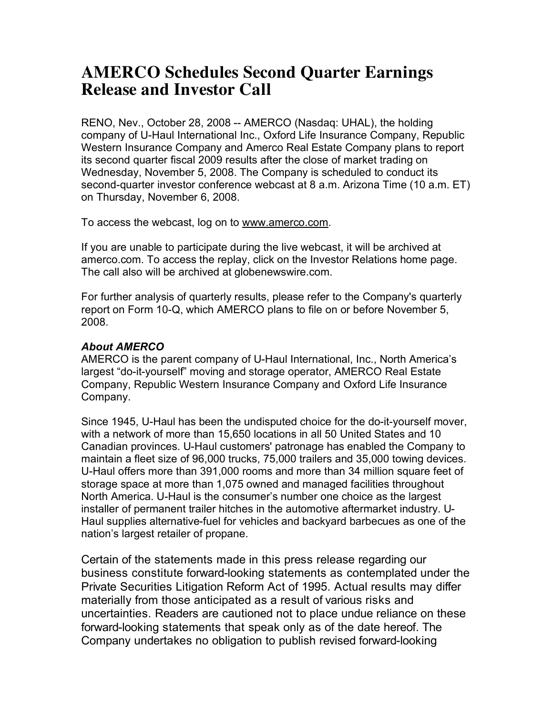## **AMERCO Schedules Second Quarter Earnings Release and Investor Call**

RENO, Nev., October 28, 2008 -- AMERCO (Nasdaq: UHAL), the holding company of U-Haul International Inc., Oxford Life Insurance Company, Republic Western Insurance Company and Amerco Real Estate Company plans to report its second quarter fiscal 2009 results after the close of market trading on Wednesday, November 5, 2008. The Company is scheduled to conduct its second-quarter investor conference webcast at 8 a.m. Arizona Time (10 a.m. ET) on Thursday, November 6, 2008.

To access the webcast, log on to www.amerco.com.

If you are unable to participate during the live webcast, it will be archived at amerco.com. To access the replay, click on the Investor Relations home page. The call also will be archived at globenewswire.com.

For further analysis of quarterly results, please refer to the Company's quarterly report on Form 10-Q, which AMERCO plans to file on or before November 5, 2008.

## *About AMERCO*

AMERCO is the parent company of U-Haul International, Inc., North America's largest "do-it-yourself" moving and storage operator, AMERCO Real Estate Company, Republic Western Insurance Company and Oxford Life Insurance Company.

Since 1945, U-Haul has been the undisputed choice for the do-it-yourself mover, with a network of more than 15,650 locations in all 50 United States and 10 Canadian provinces. U-Haul customers' patronage has enabled the Company to maintain a fleet size of 96,000 trucks, 75,000 trailers and 35,000 towing devices. U-Haul offers more than 391,000 rooms and more than 34 million square feet of storage space at more than 1,075 owned and managed facilities throughout North America. U-Haul is the consumer's number one choice as the largest installer of permanent trailer hitches in the automotive aftermarket industry. U-Haul supplies alternative-fuel for vehicles and backyard barbecues as one of the nation's largest retailer of propane.

Certain of the statements made in this press release regarding our business constitute forward-looking statements as contemplated under the Private Securities Litigation Reform Act of 1995. Actual results may differ materially from those anticipated as a result of various risks and uncertainties. Readers are cautioned not to place undue reliance on these forward-looking statements that speak only as of the date hereof. The Company undertakes no obligation to publish revised forward-looking